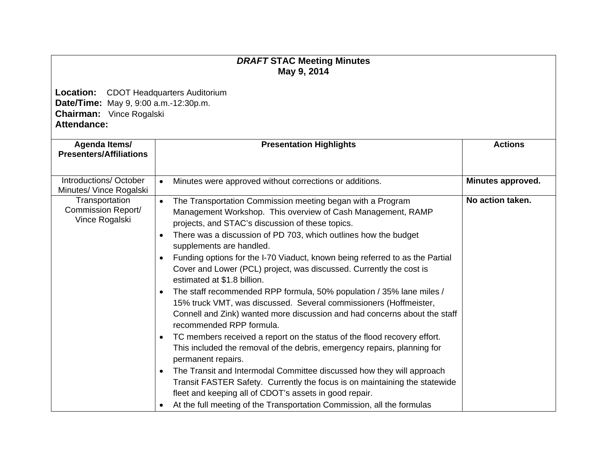## *DRAFT* **STAC Meeting Minutes May 9, 2014**

**Location:** CDOT Headquarters Auditorium **Date/Time:** May 9, 9:00 a.m.-12:30p.m. **Chairman:** Vince Rogalski **Attendance:** 

| Agenda Items/<br><b>Presenters/Affiliations</b>        | <b>Presentation Highlights</b>                                                                                                                                                                                                                                                                                                                                                                                                                                                                                                                                                                                                                                                                                                                                                                                                                                                                                                                                                                                                                                                                                                                                                                        | <b>Actions</b>    |
|--------------------------------------------------------|-------------------------------------------------------------------------------------------------------------------------------------------------------------------------------------------------------------------------------------------------------------------------------------------------------------------------------------------------------------------------------------------------------------------------------------------------------------------------------------------------------------------------------------------------------------------------------------------------------------------------------------------------------------------------------------------------------------------------------------------------------------------------------------------------------------------------------------------------------------------------------------------------------------------------------------------------------------------------------------------------------------------------------------------------------------------------------------------------------------------------------------------------------------------------------------------------------|-------------------|
| Introductions/October<br>Minutes/ Vince Rogalski       | Minutes were approved without corrections or additions.<br>$\bullet$                                                                                                                                                                                                                                                                                                                                                                                                                                                                                                                                                                                                                                                                                                                                                                                                                                                                                                                                                                                                                                                                                                                                  | Minutes approved. |
| Transportation<br>Commission Report/<br>Vince Rogalski | The Transportation Commission meeting began with a Program<br>$\bullet$<br>Management Workshop. This overview of Cash Management, RAMP<br>projects, and STAC's discussion of these topics.<br>There was a discussion of PD 703, which outlines how the budget<br>$\bullet$<br>supplements are handled.<br>Funding options for the I-70 Viaduct, known being referred to as the Partial<br>$\bullet$<br>Cover and Lower (PCL) project, was discussed. Currently the cost is<br>estimated at \$1.8 billion.<br>The staff recommended RPP formula, 50% population / 35% lane miles /<br>$\bullet$<br>15% truck VMT, was discussed. Several commissioners (Hoffmeister,<br>Connell and Zink) wanted more discussion and had concerns about the staff<br>recommended RPP formula.<br>TC members received a report on the status of the flood recovery effort.<br>$\bullet$<br>This included the removal of the debris, emergency repairs, planning for<br>permanent repairs.<br>The Transit and Intermodal Committee discussed how they will approach<br>$\bullet$<br>Transit FASTER Safety. Currently the focus is on maintaining the statewide<br>fleet and keeping all of CDOT's assets in good repair. | No action taken.  |
|                                                        | At the full meeting of the Transportation Commission, all the formulas<br>$\bullet$                                                                                                                                                                                                                                                                                                                                                                                                                                                                                                                                                                                                                                                                                                                                                                                                                                                                                                                                                                                                                                                                                                                   |                   |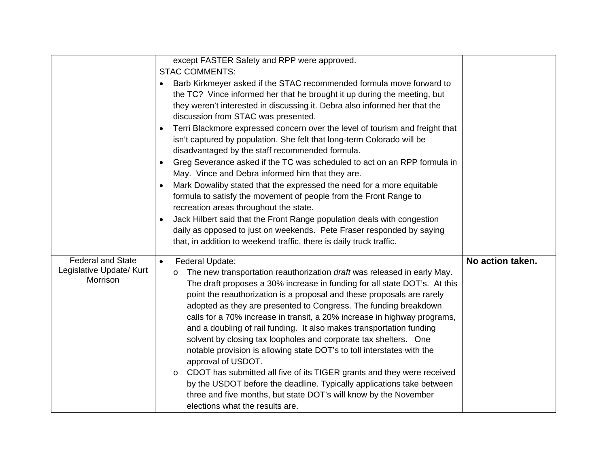|                                      | except FASTER Safety and RPP were approved.                                               |                  |
|--------------------------------------|-------------------------------------------------------------------------------------------|------------------|
|                                      | <b>STAC COMMENTS:</b>                                                                     |                  |
|                                      | Barb Kirkmeyer asked if the STAC recommended formula move forward to<br>$\bullet$         |                  |
|                                      | the TC? Vince informed her that he brought it up during the meeting, but                  |                  |
|                                      | they weren't interested in discussing it. Debra also informed her that the                |                  |
|                                      | discussion from STAC was presented.                                                       |                  |
|                                      | Terri Blackmore expressed concern over the level of tourism and freight that<br>$\bullet$ |                  |
|                                      | isn't captured by population. She felt that long-term Colorado will be                    |                  |
|                                      | disadvantaged by the staff recommended formula.                                           |                  |
|                                      | Greg Severance asked if the TC was scheduled to act on an RPP formula in<br>$\bullet$     |                  |
|                                      | May. Vince and Debra informed him that they are.                                          |                  |
|                                      | Mark Dowaliby stated that the expressed the need for a more equitable<br>$\bullet$        |                  |
|                                      | formula to satisfy the movement of people from the Front Range to                         |                  |
|                                      | recreation areas throughout the state.                                                    |                  |
|                                      | Jack Hilbert said that the Front Range population deals with congestion<br>$\bullet$      |                  |
|                                      | daily as opposed to just on weekends. Pete Fraser responded by saying                     |                  |
|                                      | that, in addition to weekend traffic, there is daily truck traffic.                       |                  |
|                                      |                                                                                           |                  |
| <b>Federal and State</b>             | Federal Update:<br>$\bullet$                                                              | No action taken. |
| Legislative Update/ Kurt<br>Morrison | The new transportation reauthorization draft was released in early May.<br>$\circ$        |                  |
|                                      | The draft proposes a 30% increase in funding for all state DOT's. At this                 |                  |
|                                      | point the reauthorization is a proposal and these proposals are rarely                    |                  |
|                                      | adopted as they are presented to Congress. The funding breakdown                          |                  |
|                                      | calls for a 70% increase in transit, a 20% increase in highway programs,                  |                  |
|                                      | and a doubling of rail funding. It also makes transportation funding                      |                  |
|                                      | solvent by closing tax loopholes and corporate tax shelters. One                          |                  |
|                                      | notable provision is allowing state DOT's to toll interstates with the                    |                  |
|                                      | approval of USDOT.                                                                        |                  |
|                                      | CDOT has submitted all five of its TIGER grants and they were received<br>$\circ$         |                  |
|                                      | by the USDOT before the deadline. Typically applications take between                     |                  |
|                                      | three and five months, but state DOT's will know by the November                          |                  |
|                                      | elections what the results are.                                                           |                  |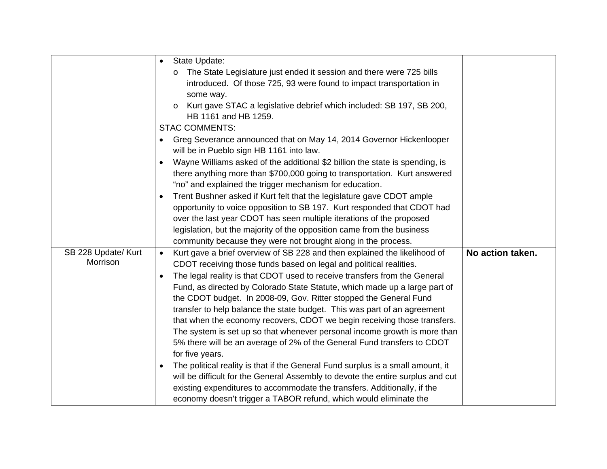|                     | State Update:<br>$\bullet$                                                             |                  |
|---------------------|----------------------------------------------------------------------------------------|------------------|
|                     | The State Legislature just ended it session and there were 725 bills                   |                  |
|                     | introduced. Of those 725, 93 were found to impact transportation in                    |                  |
|                     | some way.                                                                              |                  |
|                     | Kurt gave STAC a legislative debrief which included: SB 197, SB 200,<br>$\circ$        |                  |
|                     | HB 1161 and HB 1259.                                                                   |                  |
|                     | <b>STAC COMMENTS:</b>                                                                  |                  |
|                     | Greg Severance announced that on May 14, 2014 Governor Hickenlooper<br>$\bullet$       |                  |
|                     | will be in Pueblo sign HB 1161 into law.                                               |                  |
|                     | Wayne Williams asked of the additional \$2 billion the state is spending, is           |                  |
|                     | there anything more than \$700,000 going to transportation. Kurt answered              |                  |
|                     | "no" and explained the trigger mechanism for education.                                |                  |
|                     | Trent Bushner asked if Kurt felt that the legislature gave CDOT ample                  |                  |
|                     | opportunity to voice opposition to SB 197. Kurt responded that CDOT had                |                  |
|                     | over the last year CDOT has seen multiple iterations of the proposed                   |                  |
|                     | legislation, but the majority of the opposition came from the business                 |                  |
|                     | community because they were not brought along in the process.                          |                  |
| SB 228 Update/ Kurt | Kurt gave a brief overview of SB 228 and then explained the likelihood of<br>$\bullet$ | No action taken. |
| Morrison            | CDOT receiving those funds based on legal and political realities.                     |                  |
|                     | The legal reality is that CDOT used to receive transfers from the General<br>$\bullet$ |                  |
|                     | Fund, as directed by Colorado State Statute, which made up a large part of             |                  |
|                     | the CDOT budget. In 2008-09, Gov. Ritter stopped the General Fund                      |                  |
|                     | transfer to help balance the state budget. This was part of an agreement               |                  |
|                     | that when the economy recovers, CDOT we begin receiving those transfers.               |                  |
|                     | The system is set up so that whenever personal income growth is more than              |                  |
|                     | 5% there will be an average of 2% of the General Fund transfers to CDOT                |                  |
|                     | for five years.                                                                        |                  |
|                     | The political reality is that if the General Fund surplus is a small amount, it        |                  |
|                     | will be difficult for the General Assembly to devote the entire surplus and cut        |                  |
|                     | existing expenditures to accommodate the transfers. Additionally, if the               |                  |
|                     | economy doesn't trigger a TABOR refund, which would eliminate the                      |                  |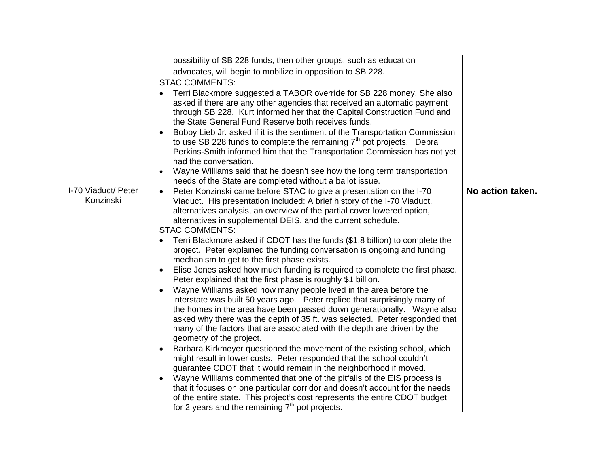|                     | possibility of SB 228 funds, then other groups, such as education                         |                  |
|---------------------|-------------------------------------------------------------------------------------------|------------------|
|                     | advocates, will begin to mobilize in opposition to SB 228.                                |                  |
|                     | <b>STAC COMMENTS:</b>                                                                     |                  |
|                     | Terri Blackmore suggested a TABOR override for SB 228 money. She also                     |                  |
|                     | asked if there are any other agencies that received an automatic payment                  |                  |
|                     | through SB 228. Kurt informed her that the Capital Construction Fund and                  |                  |
|                     | the State General Fund Reserve both receives funds.                                       |                  |
|                     | Bobby Lieb Jr. asked if it is the sentiment of the Transportation Commission<br>$\bullet$ |                  |
|                     | to use SB 228 funds to complete the remaining $7th$ pot projects. Debra                   |                  |
|                     | Perkins-Smith informed him that the Transportation Commission has not yet                 |                  |
|                     | had the conversation.                                                                     |                  |
|                     | Wayne Williams said that he doesn't see how the long term transportation<br>$\bullet$     |                  |
|                     | needs of the State are completed without a ballot issue.                                  |                  |
| I-70 Viaduct/ Peter | Peter Konzinski came before STAC to give a presentation on the I-70<br>$\bullet$          | No action taken. |
| Konzinski           | Viaduct. His presentation included: A brief history of the I-70 Viaduct,                  |                  |
|                     | alternatives analysis, an overview of the partial cover lowered option,                   |                  |
|                     | alternatives in supplemental DEIS, and the current schedule.                              |                  |
|                     | <b>STAC COMMENTS:</b>                                                                     |                  |
|                     | Terri Blackmore asked if CDOT has the funds (\$1.8 billion) to complete the               |                  |
|                     | project. Peter explained the funding conversation is ongoing and funding                  |                  |
|                     | mechanism to get to the first phase exists.                                               |                  |
|                     | Elise Jones asked how much funding is required to complete the first phase.<br>$\bullet$  |                  |
|                     | Peter explained that the first phase is roughly \$1 billion.                              |                  |
|                     | Wayne Williams asked how many people lived in the area before the<br>$\bullet$            |                  |
|                     | interstate was built 50 years ago.  Peter replied that surprisingly many of               |                  |
|                     | the homes in the area have been passed down generationally.  Wayne also                   |                  |
|                     | asked why there was the depth of 35 ft. was selected. Peter responded that                |                  |
|                     | many of the factors that are associated with the depth are driven by the                  |                  |
|                     | geometry of the project.                                                                  |                  |
|                     | Barbara Kirkmeyer questioned the movement of the existing school, which<br>$\bullet$      |                  |
|                     | might result in lower costs. Peter responded that the school couldn't                     |                  |
|                     | guarantee CDOT that it would remain in the neighborhood if moved.                         |                  |
|                     | Wayne Williams commented that one of the pitfalls of the EIS process is                   |                  |
|                     | that it focuses on one particular corridor and doesn't account for the needs              |                  |
|                     | of the entire state. This project's cost represents the entire CDOT budget                |                  |
|                     | for 2 years and the remaining $7th$ pot projects.                                         |                  |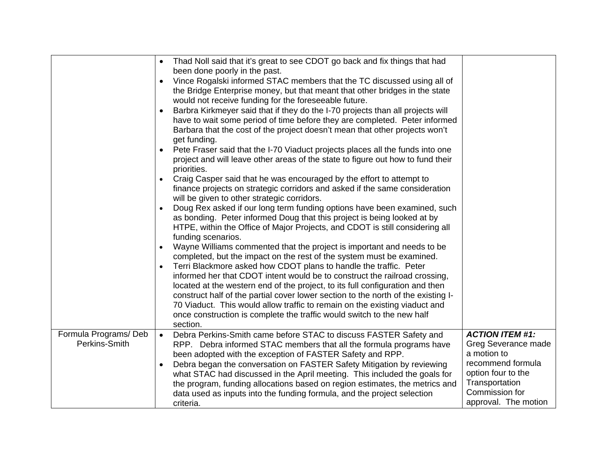|                                       | Thad Noll said that it's great to see CDOT go back and fix things that had<br>$\bullet$<br>been done poorly in the past.<br>Vince Rogalski informed STAC members that the TC discussed using all of<br>$\bullet$<br>the Bridge Enterprise money, but that meant that other bridges in the state<br>would not receive funding for the foreseeable future.<br>Barbra Kirkmeyer said that if they do the I-70 projects than all projects will<br>have to wait some period of time before they are completed. Peter informed<br>Barbara that the cost of the project doesn't mean that other projects won't<br>get funding.<br>Pete Fraser said that the I-70 Viaduct projects places all the funds into one<br>$\bullet$<br>project and will leave other areas of the state to figure out how to fund their<br>priorities.<br>Craig Casper said that he was encouraged by the effort to attempt to<br>finance projects on strategic corridors and asked if the same consideration<br>will be given to other strategic corridors.<br>Doug Rex asked if our long term funding options have been examined, such<br>as bonding. Peter informed Doug that this project is being looked at by<br>HTPE, within the Office of Major Projects, and CDOT is still considering all<br>funding scenarios.<br>Wayne Williams commented that the project is important and needs to be<br>completed, but the impact on the rest of the system must be examined.<br>Terri Blackmore asked how CDOT plans to handle the traffic. Peter<br>informed her that CDOT intent would be to construct the railroad crossing,<br>located at the western end of the project, to its full configuration and then<br>construct half of the partial cover lower section to the north of the existing I-<br>70 Viaduct. This would allow traffic to remain on the existing viaduct and<br>once construction is complete the traffic would switch to the new half<br>section. |                                                                                                                                                                     |
|---------------------------------------|--------------------------------------------------------------------------------------------------------------------------------------------------------------------------------------------------------------------------------------------------------------------------------------------------------------------------------------------------------------------------------------------------------------------------------------------------------------------------------------------------------------------------------------------------------------------------------------------------------------------------------------------------------------------------------------------------------------------------------------------------------------------------------------------------------------------------------------------------------------------------------------------------------------------------------------------------------------------------------------------------------------------------------------------------------------------------------------------------------------------------------------------------------------------------------------------------------------------------------------------------------------------------------------------------------------------------------------------------------------------------------------------------------------------------------------------------------------------------------------------------------------------------------------------------------------------------------------------------------------------------------------------------------------------------------------------------------------------------------------------------------------------------------------------------------------------------------------------------------------------------------------------------------------------------------------------|---------------------------------------------------------------------------------------------------------------------------------------------------------------------|
| Formula Programs/Deb<br>Perkins-Smith | Debra Perkins-Smith came before STAC to discuss FASTER Safety and<br>$\bullet$<br>RPP. Debra informed STAC members that all the formula programs have<br>been adopted with the exception of FASTER Safety and RPP.<br>Debra began the conversation on FASTER Safety Mitigation by reviewing<br>what STAC had discussed in the April meeting. This included the goals for<br>the program, funding allocations based on region estimates, the metrics and<br>data used as inputs into the funding formula, and the project selection<br>criteria.                                                                                                                                                                                                                                                                                                                                                                                                                                                                                                                                                                                                                                                                                                                                                                                                                                                                                                                                                                                                                                                                                                                                                                                                                                                                                                                                                                                            | <b>ACTION ITEM #1:</b><br>Greg Severance made<br>a motion to<br>recommend formula<br>option four to the<br>Transportation<br>Commission for<br>approval. The motion |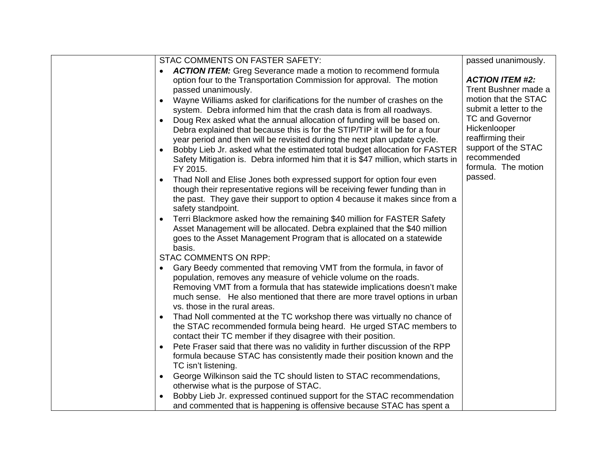| STAC COMMENTS ON FASTER SAFETY:                                                                                                         | passed unanimously.    |
|-----------------------------------------------------------------------------------------------------------------------------------------|------------------------|
| <b>ACTION ITEM:</b> Greg Severance made a motion to recommend formula                                                                   |                        |
| option four to the Transportation Commission for approval. The motion                                                                   | <b>ACTION ITEM #2:</b> |
| passed unanimously.                                                                                                                     | Trent Bushner made a   |
| Wayne Williams asked for clarifications for the number of crashes on the                                                                | motion that the STAC   |
| system. Debra informed him that the crash data is from all roadways.                                                                    | submit a letter to the |
| Doug Rex asked what the annual allocation of funding will be based on.                                                                  | <b>TC and Governor</b> |
| Debra explained that because this is for the STIP/TIP it will be for a four                                                             | Hickenlooper           |
| year period and then will be revisited during the next plan update cycle.                                                               | reaffirming their      |
| Bobby Lieb Jr. asked what the estimated total budget allocation for FASTER                                                              | support of the STAC    |
| Safety Mitigation is. Debra informed him that it is \$47 million, which starts in                                                       | recommended            |
| FY 2015.                                                                                                                                | formula. The motion    |
| Thad Noll and Elise Jones both expressed support for option four even                                                                   | passed.                |
| though their representative regions will be receiving fewer funding than in                                                             |                        |
| the past. They gave their support to option 4 because it makes since from a                                                             |                        |
| safety standpoint.                                                                                                                      |                        |
| Terri Blackmore asked how the remaining \$40 million for FASTER Safety                                                                  |                        |
| Asset Management will be allocated. Debra explained that the \$40 million                                                               |                        |
| goes to the Asset Management Program that is allocated on a statewide                                                                   |                        |
| basis.                                                                                                                                  |                        |
| <b>STAC COMMENTS ON RPP:</b>                                                                                                            |                        |
| Gary Beedy commented that removing VMT from the formula, in favor of<br>population, removes any measure of vehicle volume on the roads. |                        |
| Removing VMT from a formula that has statewide implications doesn't make                                                                |                        |
| much sense. He also mentioned that there are more travel options in urban                                                               |                        |
| vs. those in the rural areas.                                                                                                           |                        |
| Thad Noll commented at the TC workshop there was virtually no chance of                                                                 |                        |
| the STAC recommended formula being heard. He urged STAC members to                                                                      |                        |
| contact their TC member if they disagree with their position.                                                                           |                        |
| Pete Fraser said that there was no validity in further discussion of the RPP                                                            |                        |
| formula because STAC has consistently made their position known and the                                                                 |                        |
| TC isn't listening.                                                                                                                     |                        |
| George Wilkinson said the TC should listen to STAC recommendations,                                                                     |                        |
| otherwise what is the purpose of STAC.                                                                                                  |                        |
| Bobby Lieb Jr. expressed continued support for the STAC recommendation                                                                  |                        |
| and commented that is happening is offensive because STAC has spent a                                                                   |                        |